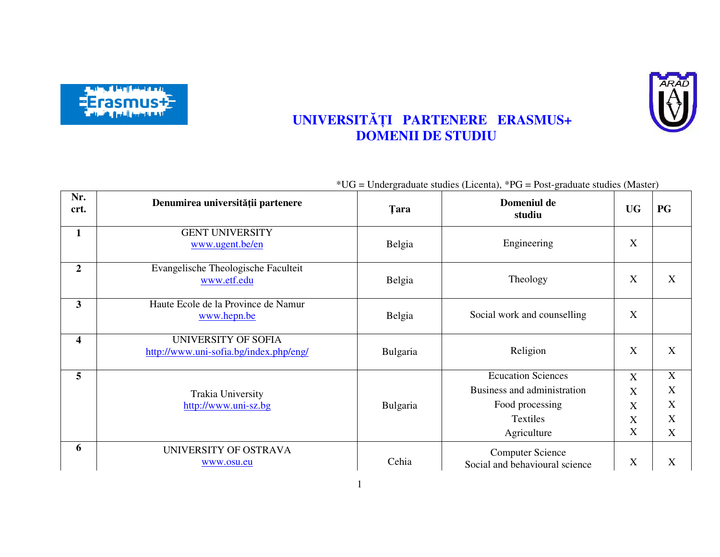



## **UNIVERSITĂȚI PARTENERE ERASMUS+ DOMENII DE STUDIU**

|                         |                                                               |             | $*UG = Undergraduate studies (Licenta), *PG = Post-graduate studies (Master)$ |                           |           |
|-------------------------|---------------------------------------------------------------|-------------|-------------------------------------------------------------------------------|---------------------------|-----------|
| Nr.<br>crt.             | Denumirea universității partenere                             | <b>Tara</b> | Domeniul de<br>studiu                                                         | <b>UG</b>                 | <b>PG</b> |
| $\mathbf{1}$            | <b>GENT UNIVERSITY</b><br>www.ugent.be/en                     | Belgia      | Engineering                                                                   | X                         |           |
| $\overline{2}$          | Evangelische Theologische Faculteit<br>www.etf.edu            | Belgia      | Theology                                                                      | X                         | X         |
| 3                       | Haute Ecole de la Province de Namur<br>www.hepn.be            | Belgia      | Social work and counselling                                                   | X                         |           |
| $\overline{\mathbf{4}}$ | UNIVERSITY OF SOFIA<br>http://www.uni-sofia.bg/index.php/eng/ | Bulgaria    | Religion                                                                      | X                         | X         |
| 5                       |                                                               |             | <b>Ecucation Sciences</b>                                                     | $\boldsymbol{\mathrm{X}}$ | X         |
|                         | Trakia University                                             |             | Business and administration                                                   | X                         | X         |
|                         | http://www.uni-sz.bg                                          | Bulgaria    | Food processing                                                               | X                         | X         |
|                         |                                                               |             | Textiles                                                                      | X                         | X         |
|                         |                                                               |             | Agriculture                                                                   | X                         | X         |
| 6                       | UNIVERSITY OF OSTRAVA<br>www.osu.eu                           | Cehia       | <b>Computer Science</b><br>Social and behavioural science                     | X                         | X         |

1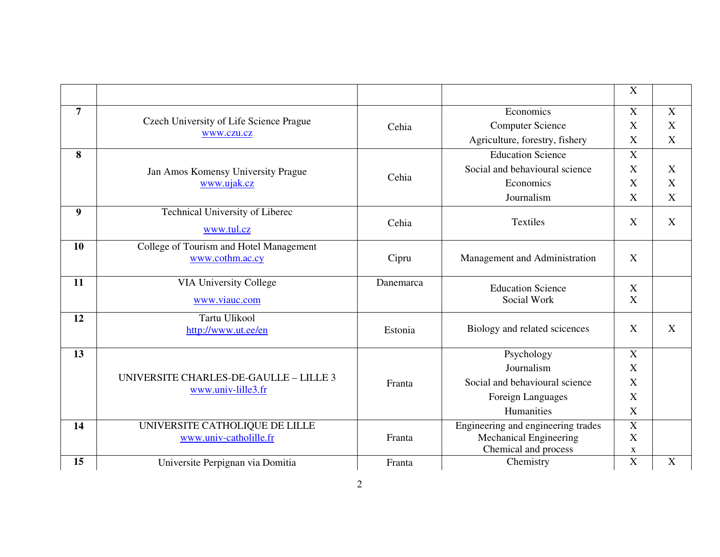|                |                                                              |           |                                         | $\mathbf X$                    |             |
|----------------|--------------------------------------------------------------|-----------|-----------------------------------------|--------------------------------|-------------|
| $\overline{7}$ |                                                              |           | Economics                               | X                              | $\mathbf X$ |
|                | Czech University of Life Science Prague                      | Cehia     | <b>Computer Science</b>                 | X                              | X           |
|                | www.czu.cz                                                   |           | Agriculture, forestry, fishery          | X                              | X           |
| 8              |                                                              |           | <b>Education Science</b>                | $\mathbf X$                    |             |
|                | Jan Amos Komensy University Prague                           |           | Social and behavioural science          | $\mathbf X$                    | $\mathbf X$ |
|                | www.ujak.cz                                                  | Cehia     | Economics                               | X                              | X           |
|                |                                                              |           | Journalism                              | X                              | $\mathbf X$ |
| 9              | Technical University of Liberec                              |           | Textiles                                | X                              | $\mathbf X$ |
|                | www.tul.cz                                                   | Cehia     |                                         |                                |             |
| 10             | College of Tourism and Hotel Management                      |           |                                         |                                |             |
|                | www.cothm.ac.cy                                              | Cipru     | Management and Administration           | X                              |             |
| 11             | <b>VIA University College</b>                                | Danemarca |                                         |                                |             |
|                |                                                              |           | <b>Education Science</b><br>Social Work | $\boldsymbol{\mathrm{X}}$<br>X |             |
|                | www.viauc.com                                                |           |                                         |                                |             |
| 12             | Tartu Ulikool                                                | Estonia   | Biology and related scicences           | X                              | X           |
|                | http://www.ut.ee/en                                          |           |                                         |                                |             |
| 13             |                                                              |           | Psychology                              | X                              |             |
|                |                                                              |           | Journalism                              | X                              |             |
|                | UNIVERSITE CHARLES-DE-GAULLE - LILLE 3<br>www.univ-lille3.fr | Franta    | Social and behavioural science          | $\boldsymbol{\mathrm{X}}$      |             |
|                |                                                              |           | Foreign Languages                       | X                              |             |
|                |                                                              |           | Humanities                              | X                              |             |
| 14             | UNIVERSITE CATHOLIQUE DE LILLE                               |           | Engineering and engineering trades      | $\overline{X}$                 |             |
|                | www.univ-catholille.fr                                       | Franta    | Mechanical Engineering                  | X                              |             |
| 15             |                                                              |           | Chemical and process                    | $\mathbf X$<br>$\overline{X}$  | $\mathbf X$ |
|                | Universite Perpignan via Domitia                             | Franta    | Chemistry                               |                                |             |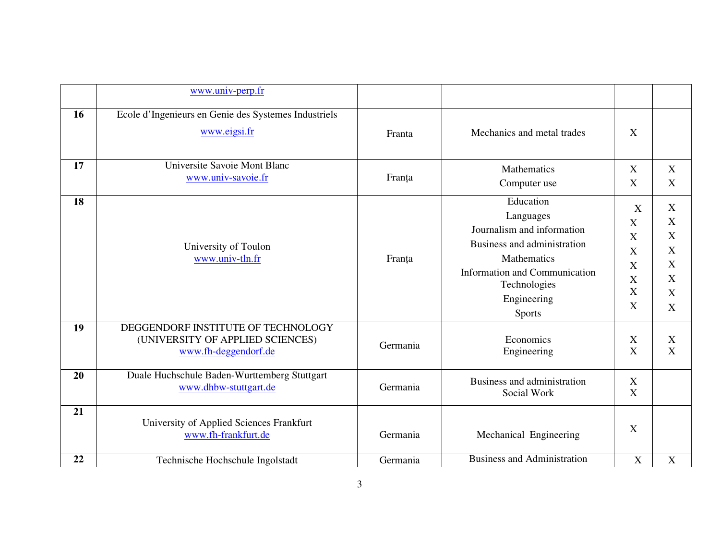|    | www.univ-perp.fr                                                                               |          |                                                                                                                                                                                            |                                                                                                                                      |                                                                    |
|----|------------------------------------------------------------------------------------------------|----------|--------------------------------------------------------------------------------------------------------------------------------------------------------------------------------------------|--------------------------------------------------------------------------------------------------------------------------------------|--------------------------------------------------------------------|
| 16 | Ecole d'Ingenieurs en Genie des Systemes Industriels<br>www.eigsi.fr                           | Franta   | Mechanics and metal trades                                                                                                                                                                 | X                                                                                                                                    |                                                                    |
| 17 | Universite Savoie Mont Blanc<br>www.univ-savoie.fr                                             | Franța   | <b>Mathematics</b><br>Computer use                                                                                                                                                         | X<br>X                                                                                                                               | $\mathbf X$<br>X                                                   |
| 18 | University of Toulon<br>www.univ-tln.fr                                                        | Franța   | Education<br>Languages<br>Journalism and information<br>Business and administration<br><b>Mathematics</b><br>Information and Communication<br>Technologies<br>Engineering<br><b>Sports</b> | X<br>$\boldsymbol{\mathrm{X}}$<br>$\boldsymbol{\mathrm{X}}$<br>X<br>$\boldsymbol{\mathrm{X}}$<br>X<br>$\boldsymbol{\mathrm{X}}$<br>X | X<br>X<br>$\mathbf X$<br>X<br>$\mathbf X$<br>$\mathbf X$<br>X<br>X |
| 19 | DEGGENDORF INSTITUTE OF TECHNOLOGY<br>(UNIVERSITY OF APPLIED SCIENCES)<br>www.fh-deggendorf.de | Germania | Economics<br>Engineering                                                                                                                                                                   | $\boldsymbol{\mathrm{X}}$<br>X                                                                                                       | X<br>X                                                             |
| 20 | Duale Huchschule Baden-Wurttemberg Stuttgart<br>www.dhbw-stuttgart.de                          | Germania | Business and administration<br>Social Work                                                                                                                                                 | $\mathbf X$<br>$\boldsymbol{\mathrm{X}}$                                                                                             |                                                                    |
| 21 | University of Applied Sciences Frankfurt<br>www.fh-frankfurt.de                                | Germania | Mechanical Engineering                                                                                                                                                                     | X                                                                                                                                    |                                                                    |
| 22 | Technische Hochschule Ingolstadt                                                               | Germania | <b>Business and Administration</b>                                                                                                                                                         | X                                                                                                                                    | $\mathbf X$                                                        |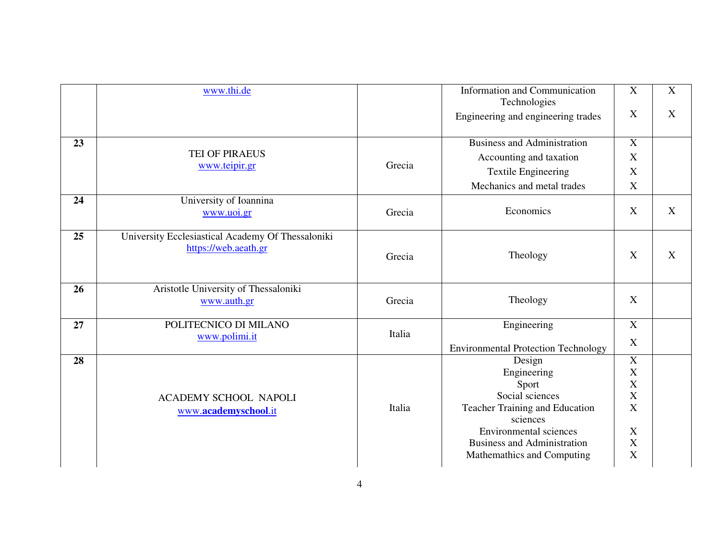|    | www.thi.de                                                                |        | Information and Communication<br>Technologies | $\mathbf X$      | $\mathbf X$ |
|----|---------------------------------------------------------------------------|--------|-----------------------------------------------|------------------|-------------|
|    |                                                                           |        | Engineering and engineering trades            | X                | X           |
| 23 |                                                                           |        | <b>Business and Administration</b>            | $\overline{X}$   |             |
|    | TEI OF PIRAEUS                                                            |        | Accounting and taxation                       | X                |             |
|    | www.teipir.gr                                                             | Grecia | <b>Textile Engineering</b>                    | X                |             |
|    |                                                                           |        | Mechanics and metal trades                    | X                |             |
| 24 | University of Ioannina<br>www.uoi.gr                                      | Grecia | Economics                                     | X                | X           |
| 25 | University Ecclesiastical Academy Of Thessaloniki<br>https://web.aeath.gr | Grecia | Theology                                      | X                | X           |
| 26 | Aristotle University of Thessaloniki<br>www.auth.gr                       | Grecia | Theology                                      | X                |             |
| 27 | POLITECNICO DI MILANO                                                     |        | Engineering                                   | $\mathbf X$      |             |
|    | www.polimi.it                                                             | Italia | <b>Environmental Protection Technology</b>    | X                |             |
| 28 |                                                                           |        | Design                                        | $\mathbf X$      |             |
|    |                                                                           |        | Engineering                                   | $\mathbf X$      |             |
|    |                                                                           |        | Sport<br>Social sciences                      | $\mathbf X$<br>X |             |
|    | <b>ACADEMY SCHOOL NAPOLI</b>                                              | Italia | Teacher Training and Education                | X                |             |
|    | www.academyschool.it                                                      |        | sciences                                      |                  |             |
|    |                                                                           |        | <b>Environmental sciences</b>                 | X                |             |
|    |                                                                           |        | <b>Business and Administration</b>            | $\mathbf X$      |             |
|    |                                                                           |        | Mathemathics and Computing                    | X                |             |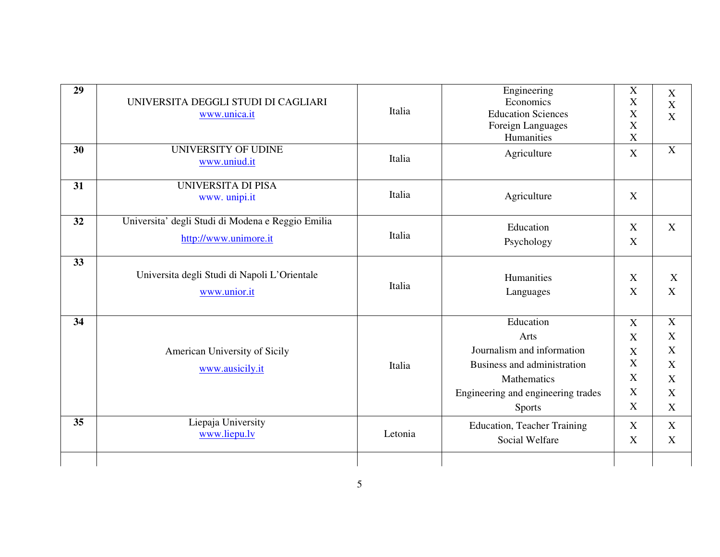| UNIVERSITA DEGGLI STUDI DI CAGLIARI<br>www.unica.it<br><b>UNIVERSITY OF UDINE</b><br>www.uniud.it<br><b>UNIVERSITA DI PISA</b><br>www. unipi.it<br>Universita' degli Studi di Modena e Reggio Emilia<br>http://www.unimore.it | Italia<br>Italia<br>Italia<br>Italia                  | Economics<br><b>Education Sciences</b><br>Foreign Languages<br>Humanities<br>Agriculture<br>Agriculture<br>Education | X<br>X<br>$\overline{X}$<br>X<br>$\mathbf X$<br>X<br>X | X<br>$\overline{X}$<br>X |
|-------------------------------------------------------------------------------------------------------------------------------------------------------------------------------------------------------------------------------|-------------------------------------------------------|----------------------------------------------------------------------------------------------------------------------|--------------------------------------------------------|--------------------------|
|                                                                                                                                                                                                                               |                                                       |                                                                                                                      |                                                        |                          |
|                                                                                                                                                                                                                               |                                                       |                                                                                                                      |                                                        |                          |
|                                                                                                                                                                                                                               |                                                       |                                                                                                                      |                                                        |                          |
|                                                                                                                                                                                                                               |                                                       |                                                                                                                      |                                                        |                          |
|                                                                                                                                                                                                                               |                                                       |                                                                                                                      |                                                        |                          |
|                                                                                                                                                                                                                               |                                                       |                                                                                                                      |                                                        | $\mathbf X$              |
|                                                                                                                                                                                                                               |                                                       | Psychology                                                                                                           | X                                                      |                          |
|                                                                                                                                                                                                                               |                                                       |                                                                                                                      |                                                        |                          |
| Universita degli Studi di Napoli L'Orientale                                                                                                                                                                                  | Italia                                                | Humanities                                                                                                           | X                                                      | X                        |
| www.unior.it                                                                                                                                                                                                                  |                                                       | Languages                                                                                                            | X                                                      | X                        |
|                                                                                                                                                                                                                               |                                                       | Education                                                                                                            | X                                                      | X                        |
|                                                                                                                                                                                                                               |                                                       | Arts                                                                                                                 | $\mathbf X$                                            | X                        |
| American University of Sicily                                                                                                                                                                                                 |                                                       | Journalism and information                                                                                           | X                                                      | X                        |
|                                                                                                                                                                                                                               |                                                       | Business and administration                                                                                          | $\mathbf X$                                            | X                        |
|                                                                                                                                                                                                                               |                                                       |                                                                                                                      | X                                                      | X                        |
|                                                                                                                                                                                                                               |                                                       |                                                                                                                      | X                                                      | X                        |
|                                                                                                                                                                                                                               |                                                       | <b>Sports</b>                                                                                                        | X                                                      | X                        |
|                                                                                                                                                                                                                               |                                                       | <b>Education, Teacher Training</b>                                                                                   | $\boldsymbol{\mathrm{X}}$                              | X                        |
|                                                                                                                                                                                                                               |                                                       | Social Welfare                                                                                                       | X                                                      | X                        |
|                                                                                                                                                                                                                               | www.ausicily.it<br>Liepaja University<br>www.liepu.lv | Italia<br>Letonia                                                                                                    | Mathematics<br>Engineering and engineering trades      |                          |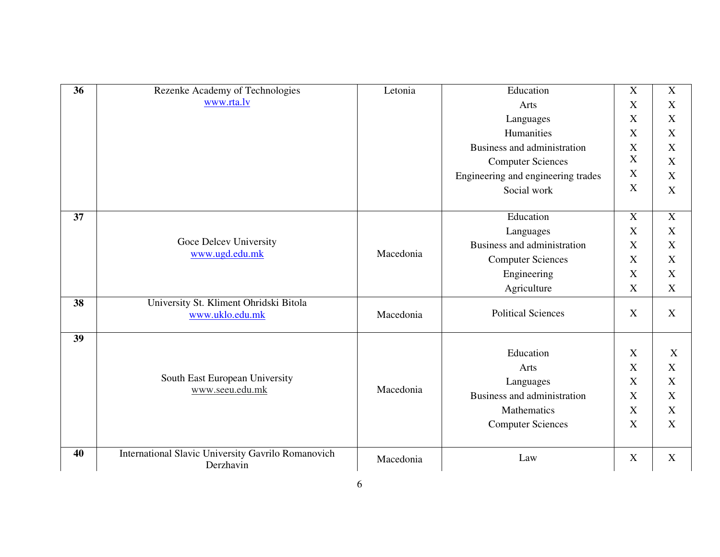| 36 | Rezenke Academy of Technologies                                 | Letonia   | Education                          | $\mathbf X$               | $\mathbf X$               |
|----|-----------------------------------------------------------------|-----------|------------------------------------|---------------------------|---------------------------|
|    | www.rta.lv                                                      |           | Arts                               | X                         | X                         |
|    |                                                                 |           | Languages                          | X                         | X                         |
|    |                                                                 |           | Humanities                         | $\boldsymbol{\mathrm{X}}$ | $\mathbf X$               |
|    |                                                                 |           | Business and administration        | X                         | X                         |
|    |                                                                 |           | <b>Computer Sciences</b>           | $\mathbf X$               | X                         |
|    |                                                                 |           | Engineering and engineering trades | $\mathbf X$               | $\mathbf X$               |
|    |                                                                 |           | Social work                        | X                         | $\mathbf X$               |
| 37 |                                                                 |           | Education                          | $\boldsymbol{\mathrm{X}}$ | $\mathbf X$               |
|    |                                                                 |           | Languages                          | X                         | X                         |
|    | Goce Delcev University<br>www.ugd.edu.mk                        | Macedonia | Business and administration        | X                         | X                         |
|    |                                                                 |           | <b>Computer Sciences</b>           | X                         | $\boldsymbol{\mathrm{X}}$ |
|    |                                                                 |           | Engineering                        | X                         | $\boldsymbol{X}$          |
|    |                                                                 |           | Agriculture                        | X                         | X                         |
| 38 | University St. Kliment Ohridski Bitola<br>www.uklo.edu.mk       | Macedonia | <b>Political Sciences</b>          | X                         | X                         |
| 39 |                                                                 |           |                                    |                           |                           |
|    |                                                                 |           | Education                          | X                         | X                         |
|    |                                                                 |           | Arts                               | X                         | X                         |
|    | South East European University<br>www.seeu.edu.mk               | Macedonia | Languages                          | X                         | X                         |
|    |                                                                 |           | Business and administration        | X                         | $\mathbf X$               |
|    |                                                                 |           | <b>Mathematics</b>                 | X                         | $\boldsymbol{X}$          |
|    |                                                                 |           | <b>Computer Sciences</b>           | X                         | X                         |
| 40 | International Slavic University Gavrilo Romanovich<br>Derzhavin | Macedonia | Law                                | X                         | X                         |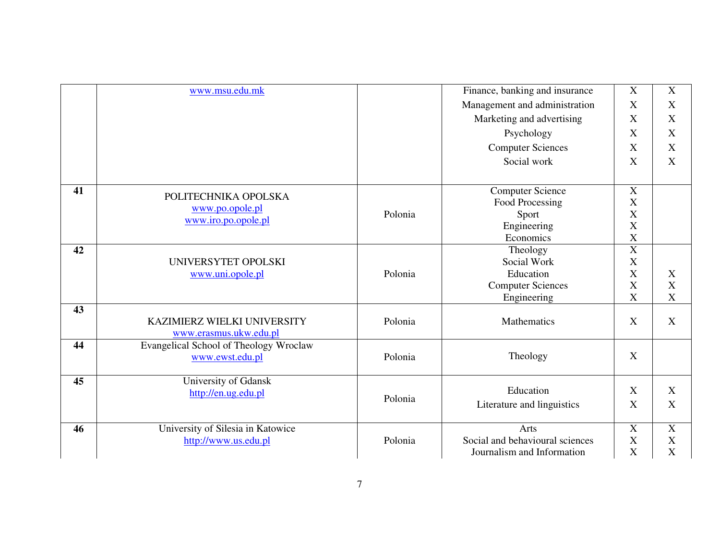|    | www.msu.edu.mk                         |         | Finance, banking and insurance  | X                         | X                         |
|----|----------------------------------------|---------|---------------------------------|---------------------------|---------------------------|
|    |                                        |         | Management and administration   | X                         | X                         |
|    |                                        |         | Marketing and advertising       | X                         | $\mathbf X$               |
|    |                                        |         | Psychology                      | X                         | $\mathbf X$               |
|    |                                        |         | <b>Computer Sciences</b>        | X                         | $\mathbf X$               |
|    |                                        |         | Social work                     | $\boldsymbol{\mathrm{X}}$ | $\mathbf X$               |
|    |                                        |         |                                 |                           |                           |
| 41 | POLITECHNIKA OPOLSKA                   |         | <b>Computer Science</b>         | $\overline{X}$            |                           |
|    |                                        |         | Food Processing                 | X                         |                           |
|    | www.po.opole.pl                        | Polonia | Sport                           | X                         |                           |
|    | www.iro.po.opole.pl                    |         | Engineering                     | $\mathbf X$               |                           |
|    |                                        |         | Economics                       | $\mathbf X$               |                           |
| 42 |                                        |         | Theology                        | $\overline{X}$            |                           |
|    | UNIVERSYTET OPOLSKI                    |         | Social Work                     | X                         |                           |
|    | www.uni.opole.pl                       | Polonia | Education                       | X                         | X                         |
|    |                                        |         | <b>Computer Sciences</b>        | $\mathbf X$               | $\mathbf X$               |
|    |                                        |         | Engineering                     | X                         | $\mathbf X$               |
| 43 |                                        |         |                                 |                           |                           |
|    | KAZIMIERZ WIELKI UNIVERSITY            | Polonia | <b>Mathematics</b>              | X                         | X                         |
|    | www.erasmus.ukw.edu.pl                 |         |                                 |                           |                           |
| 44 | Evangelical School of Theology Wroclaw |         |                                 |                           |                           |
|    | www.ewst.edu.pl                        | Polonia | Theology                        | X                         |                           |
|    |                                        |         |                                 |                           |                           |
| 45 | University of Gdansk                   |         | Education                       | X                         | X                         |
|    | http://en.ug.edu.pl                    | Polonia |                                 |                           |                           |
|    |                                        |         | Literature and linguistics      | X                         | X                         |
| 46 | University of Silesia in Katowice      |         | Arts                            | $\mathbf X$               | $\boldsymbol{\mathrm{X}}$ |
|    | http://www.us.edu.pl                   | Polonia | Social and behavioural sciences | X                         | X                         |
|    |                                        |         | Journalism and Information      | $\mathbf X$               | X                         |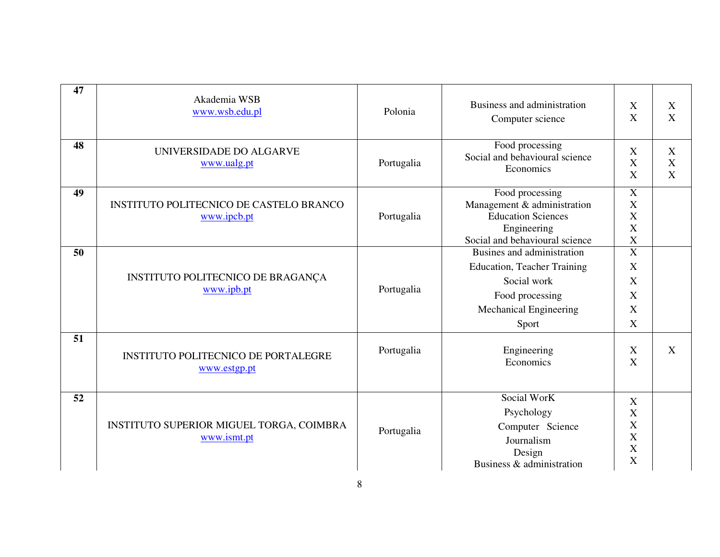| 47 | Akademia WSB<br>www.wsb.edu.pl                             | Polonia    | Business and administration<br>Computer science                                                                                       | X<br>X                                                                     | X<br>X                |
|----|------------------------------------------------------------|------------|---------------------------------------------------------------------------------------------------------------------------------------|----------------------------------------------------------------------------|-----------------------|
| 48 | UNIVERSIDADE DO ALGARVE<br>www.ualg.pt                     | Portugalia | Food processing<br>Social and behavioural science<br>Economics                                                                        | X<br>X<br>$\boldsymbol{\mathrm{X}}$                                        | X<br>X<br>$\mathbf X$ |
| 49 | INSTITUTO POLITECNICO DE CASTELO BRANCO<br>www.ipcb.pt     | Portugalia | Food processing<br>Management & administration<br><b>Education Sciences</b><br>Engineering<br>Social and behavioural science          | X<br>X<br>X<br>X<br>$\mathbf X$                                            |                       |
| 50 | INSTITUTO POLITECNICO DE BRAGANÇA<br>www.ipb.pt            | Portugalia | Busines and administration<br><b>Education, Teacher Training</b><br>Social work<br>Food processing<br>Mechanical Engineering<br>Sport | $\overline{X}$<br>X<br>X<br>X<br>X<br>$\boldsymbol{\mathrm{X}}$            |                       |
| 51 | <b>INSTITUTO POLITECNICO DE PORTALEGRE</b><br>www.estgp.pt | Portugalia | Engineering<br>Economics                                                                                                              | X<br>X                                                                     | $\mathbf{X}$          |
| 52 | INSTITUTO SUPERIOR MIGUEL TORGA, COIMBRA<br>www.ismt.pt    | Portugalia | Social WorK<br>Psychology<br>Computer Science<br>Journalism<br>Design<br>Business & administration                                    | X<br>$\boldsymbol{\mathrm{X}}$<br>X<br>$\boldsymbol{\mathrm{X}}$<br>X<br>X |                       |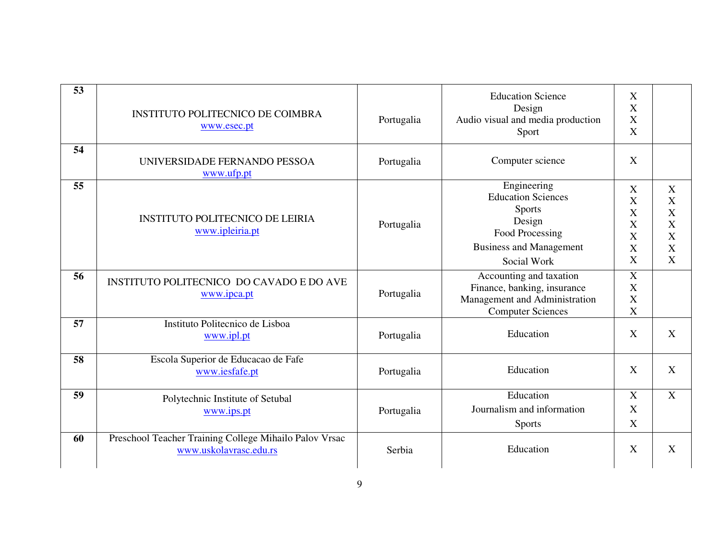| 53 | <b>INSTITUTO POLITECNICO DE COIMBRA</b><br>www.esec.pt                           | Portugalia | <b>Education Science</b><br>Design<br>Audio visual and media production<br>Sport                                                        | X<br>$\boldsymbol{\mathrm{X}}$<br>X<br>$\mathbf X$                                                 |                                                                                           |
|----|----------------------------------------------------------------------------------|------------|-----------------------------------------------------------------------------------------------------------------------------------------|----------------------------------------------------------------------------------------------------|-------------------------------------------------------------------------------------------|
| 54 | UNIVERSIDADE FERNANDO PESSOA<br>www.ufp.pt                                       | Portugalia | Computer science                                                                                                                        | X                                                                                                  |                                                                                           |
| 55 | <b>INSTITUTO POLITECNICO DE LEIRIA</b><br>www.ipleiria.pt                        | Portugalia | Engineering<br><b>Education Sciences</b><br><b>Sports</b><br>Design<br>Food Processing<br><b>Business and Management</b><br>Social Work | X<br>X<br>X<br>X<br>X<br>$\boldsymbol{\mathrm{X}}$<br>$\boldsymbol{\mathrm{X}}$                    | $\boldsymbol{\mathrm{X}}$<br>X<br>X<br>X<br>X<br>$\boldsymbol{\mathrm{X}}$<br>$\mathbf X$ |
| 56 | INSTITUTO POLITECNICO DO CAVADO E DO AVE<br>www.ipca.pt                          | Portugalia | Accounting and taxation<br>Finance, banking, insurance<br>Management and Administration<br><b>Computer Sciences</b>                     | $\boldsymbol{\mathrm{X}}$<br>$\boldsymbol{\mathrm{X}}$<br>$\mathbf X$<br>$\boldsymbol{\mathrm{X}}$ |                                                                                           |
| 57 | Instituto Politecnico de Lisboa<br>www.ipl.pt                                    | Portugalia | Education                                                                                                                               | X                                                                                                  | X                                                                                         |
| 58 | Escola Superior de Educacao de Fafe<br>www.iesfafe.pt                            | Portugalia | Education                                                                                                                               | X                                                                                                  | X                                                                                         |
| 59 | Polytechnic Institute of Setubal<br>www.ips.pt                                   | Portugalia | Education<br>Journalism and information<br><b>Sports</b>                                                                                | X<br>X<br>$\mathbf X$                                                                              | X                                                                                         |
| 60 | Preschool Teacher Training College Mihailo Palov Vrsac<br>www.uskolavrasc.edu.rs | Serbia     | Education                                                                                                                               | X                                                                                                  | $\mathbf X$                                                                               |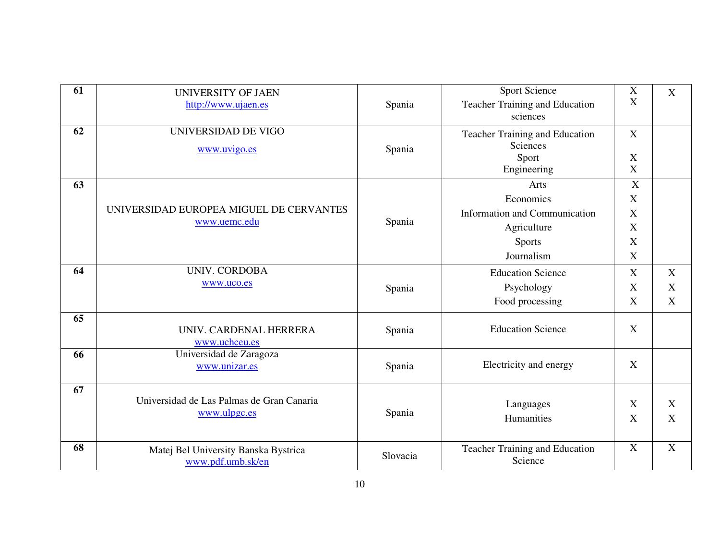| 61 | <b>UNIVERSITY OF JAEN</b>                 |          | <b>Sport Science</b>           | $\boldsymbol{\mathrm{X}}$ | X           |
|----|-------------------------------------------|----------|--------------------------------|---------------------------|-------------|
|    | http://www.ujaen.es                       | Spania   | Teacher Training and Education | X                         |             |
|    |                                           |          | sciences                       |                           |             |
| 62 | UNIVERSIDAD DE VIGO                       |          | Teacher Training and Education | X                         |             |
|    | www.uvigo.es                              | Spania   | Sciences                       |                           |             |
|    |                                           |          | Sport                          | X                         |             |
|    |                                           |          | Engineering                    | X                         |             |
| 63 |                                           |          | Arts                           | $\overline{X}$            |             |
|    |                                           |          | Economics                      | X                         |             |
|    | UNIVERSIDAD EUROPEA MIGUEL DE CERVANTES   |          | Information and Communication  | X                         |             |
|    | www.uemc.edu                              | Spania   | Agriculture                    | X                         |             |
|    |                                           |          | <b>Sports</b>                  | X                         |             |
|    |                                           |          | Journalism                     | X                         |             |
| 64 | <b>UNIV. CORDOBA</b>                      |          | <b>Education Science</b>       | X                         | X           |
|    | www.uco.es                                | Spania   | Psychology                     | X                         | X           |
|    |                                           |          | Food processing                | X                         | $\mathbf X$ |
| 65 |                                           |          |                                |                           |             |
|    | UNIV. CARDENAL HERRERA                    | Spania   | <b>Education Science</b>       | X                         |             |
|    | www.uchceu.es                             |          |                                |                           |             |
| 66 | Universidad de Zaragoza<br>www.unizar.es  | Spania   | Electricity and energy         | X                         |             |
|    |                                           |          |                                |                           |             |
| 67 |                                           |          |                                |                           |             |
|    | Universidad de Las Palmas de Gran Canaria |          | Languages                      | X                         | X           |
|    | www.ulpgc.es                              | Spania   | Humanities                     | $\boldsymbol{X}$          | X           |
|    |                                           |          |                                |                           |             |
| 68 | Matej Bel University Banska Bystrica      |          | Teacher Training and Education | X                         | X           |
|    | www.pdf.umb.sk/en                         | Slovacia | Science                        |                           |             |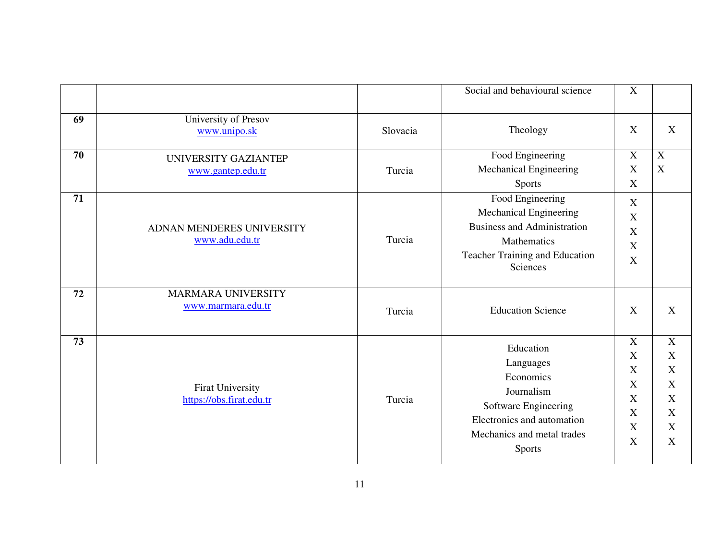|    |                                              |          | Social and behavioural science                                                                                                                         | $\mathbf X$                                                                                                                     |                                                                                                     |
|----|----------------------------------------------|----------|--------------------------------------------------------------------------------------------------------------------------------------------------------|---------------------------------------------------------------------------------------------------------------------------------|-----------------------------------------------------------------------------------------------------|
| 69 | University of Presov<br>www.unipo.sk         | Slovacia | Theology                                                                                                                                               | X                                                                                                                               | X                                                                                                   |
| 70 | UNIVERSITY GAZIANTEP<br>www.gantep.edu.tr    | Turcia   | Food Engineering<br>Mechanical Engineering<br>Sports                                                                                                   | $\mathbf X$<br>$\mathbf X$<br>$\mathbf X$                                                                                       | $\mathbf X$<br>$\mathbf X$                                                                          |
| 71 | ADNAN MENDERES UNIVERSITY<br>www.adu.edu.tr  | Turcia   | Food Engineering<br>Mechanical Engineering<br><b>Business and Administration</b><br>Mathematics<br>Teacher Training and Education<br>Sciences          | $\mathbf X$<br>$\boldsymbol{\mathrm{X}}$<br>$\mathbf X$<br>X<br>X                                                               |                                                                                                     |
| 72 | MARMARA UNIVERSITY<br>www.marmara.edu.tr     | Turcia   | <b>Education Science</b>                                                                                                                               | X                                                                                                                               | X                                                                                                   |
| 73 | Firat University<br>https://obs.firat.edu.tr | Turcia   | Education<br>Languages<br>Economics<br>Journalism<br>Software Engineering<br>Electronics and automation<br>Mechanics and metal trades<br><b>Sports</b> | $\overline{X}$<br>$\mathbf X$<br>X<br>$\mathbf X$<br>$\boldsymbol{\mathrm{X}}$<br>$\boldsymbol{\mathrm{X}}$<br>$\mathbf X$<br>X | $\overline{X}$<br>$\mathbf X$<br>X<br>$\mathbf X$<br>$\mathbf X$<br>$\mathbf X$<br>$\mathbf X$<br>X |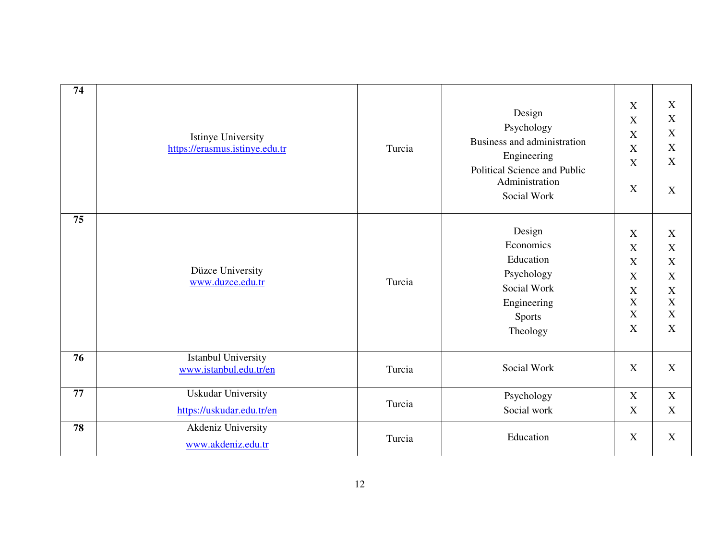| 74 | <b>Istinye University</b><br>https://erasmus.istinye.edu.tr | Turcia | Design<br>Psychology<br>Business and administration<br>Engineering<br>Political Science and Public<br>Administration<br>Social Work | $\mathbf X$<br>$\mathbf X$<br>$\boldsymbol{\mathrm{X}}$<br>$\mathbf X$<br>$\boldsymbol{\mathrm{X}}$<br>$\mathbf X$                                   | X<br>X<br>X<br>X<br>X<br>$\boldsymbol{X}$                          |
|----|-------------------------------------------------------------|--------|-------------------------------------------------------------------------------------------------------------------------------------|------------------------------------------------------------------------------------------------------------------------------------------------------|--------------------------------------------------------------------|
| 75 | Düzce University<br>www.duzce.edu.tr                        | Turcia | Design<br>Economics<br>Education<br>Psychology<br>Social Work<br>Engineering<br><b>Sports</b><br>Theology                           | $\mathbf X$<br>$\mathbf X$<br>X<br>$\boldsymbol{\mathrm{X}}$<br>$\boldsymbol{\mathrm{X}}$<br>$\mathbf X$<br>$\mathbf X$<br>$\boldsymbol{\mathrm{X}}$ | X<br>$\boldsymbol{X}$<br>X<br>X<br>$\boldsymbol{X}$<br>X<br>X<br>X |
| 76 | <b>Istanbul University</b><br>www.istanbul.edu.tr/en        | Turcia | Social Work                                                                                                                         | X                                                                                                                                                    | $\boldsymbol{\mathrm{X}}$                                          |
| 77 | <b>Uskudar University</b><br>https://uskudar.edu.tr/en      | Turcia | Psychology<br>Social work                                                                                                           | X<br>$\mathbf X$                                                                                                                                     | $\mathbf X$<br>$\boldsymbol{X}$                                    |
| 78 | Akdeniz University<br>www.akdeniz.edu.tr                    | Turcia | Education                                                                                                                           | $\mathbf X$                                                                                                                                          | X                                                                  |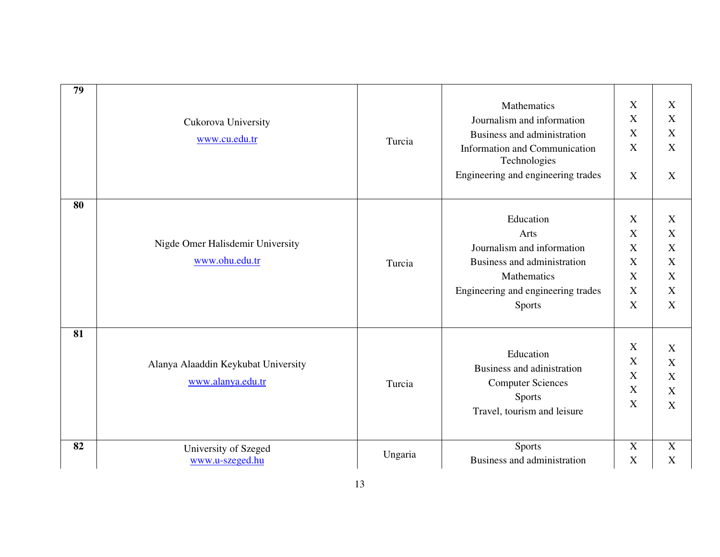| 79 |                                                    |        |                                               |                           |             |
|----|----------------------------------------------------|--------|-----------------------------------------------|---------------------------|-------------|
|    | Cukorova University<br>www.cu.edu.tr               | Turcia | Mathematics                                   | $\mathbf X$               | X           |
|    |                                                    |        | Journalism and information                    | $\mathbf X$               | X           |
|    |                                                    |        | Business and administration                   | X                         | $\mathbf X$ |
|    |                                                    |        | Information and Communication<br>Technologies | $\mathbf X$               | $\mathbf X$ |
|    |                                                    |        | Engineering and engineering trades            | X                         | X           |
| 80 |                                                    |        |                                               |                           |             |
|    |                                                    | Turcia | Education                                     | X                         | X           |
|    |                                                    |        | Arts                                          | $\mathbf X$               | X           |
|    | Nigde Omer Halisdemir University                   |        | Journalism and information                    | X                         | $\mathbf X$ |
|    | www.ohu.edu.tr                                     |        | Business and administration                   | $\mathbf X$               | $\mathbf X$ |
|    |                                                    |        | Mathematics                                   | $\mathbf X$               | $\mathbf X$ |
|    |                                                    |        | Engineering and engineering trades            | $\boldsymbol{\mathrm{X}}$ | X           |
|    |                                                    |        | <b>Sports</b>                                 | X                         | $\mathbf X$ |
| 81 |                                                    |        |                                               |                           |             |
|    |                                                    |        | Education                                     | X                         | X           |
|    | Alanya Alaaddin Keykubat University                |        | Business and adinistration                    | $\mathbf X$               | $\mathbf X$ |
|    | www.alanya.edu.tr                                  |        |                                               | $\mathbf X$               | $\mathbf X$ |
|    |                                                    | Turcia | <b>Computer Sciences</b><br>Sports            | $\mathbf X$               | X           |
|    |                                                    |        | Travel, tourism and leisure                   | $\mathbf X$               | X           |
|    |                                                    |        |                                               |                           |             |
| 82 | University of Szeged<br>Ungaria<br>www.u-szeged.hu |        | <b>Sports</b>                                 | X                         | X           |
|    |                                                    |        | Business and administration                   | $\mathbf X$               | $\mathbf X$ |